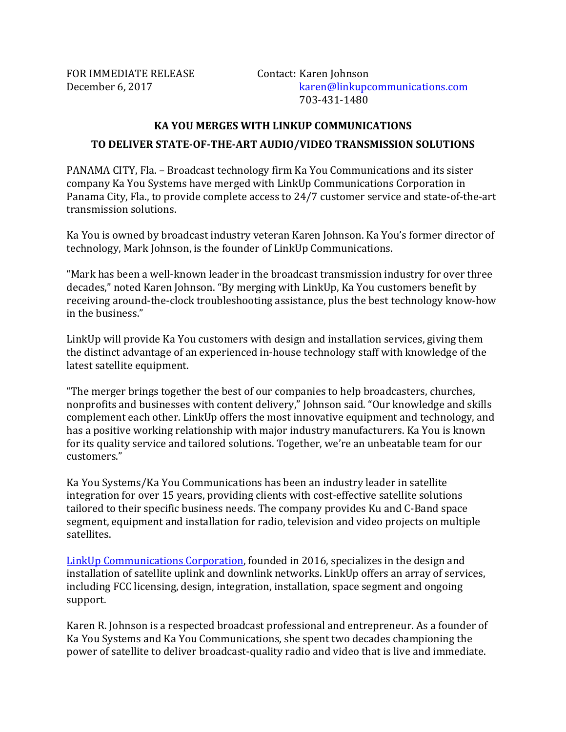FOR IMMEDIATE RELEASE Contact: Karen Johnson

## **KA YOU MERGES WITH LINKUP COMMUNICATIONS**

## **TO DELIVER STATE-OF-THE-ART AUDIO/VIDEO TRANSMISSION SOLUTIONS**

PANAMA CITY, Fla. – Broadcast technology firm Ka You Communications and its sister company Ka You Systems have merged with LinkUp Communications Corporation in Panama City, Fla., to provide complete access to 24/7 customer service and state-of-the-art transmission solutions. 

Ka You is owned by broadcast industry veteran Karen Johnson. Ka You's former director of technology, Mark Johnson, is the founder of LinkUp Communications.

"Mark has been a well-known leader in the broadcast transmission industry for over three decades," noted Karen Johnson. "By merging with LinkUp, Ka You customers benefit by receiving around-the-clock troubleshooting assistance, plus the best technology know-how in the business."

LinkUp will provide Ka You customers with design and installation services, giving them the distinct advantage of an experienced in-house technology staff with knowledge of the latest satellite equipment.

"The merger brings together the best of our companies to help broadcasters, churches, nonprofits and businesses with content delivery," Johnson said. "Our knowledge and skills complement each other. LinkUp offers the most innovative equipment and technology, and has a positive working relationship with major industry manufacturers. Ka You is known for its quality service and tailored solutions. Together, we're an unbeatable team for our customers." 

Ka You Systems/Ka You Communications has been an industry leader in satellite integration for over 15 years, providing clients with cost-effective satellite solutions tailored to their specific business needs. The company provides Ku and C-Band space segment, equipment and installation for radio, television and video projects on multiple satellites.

LinkUp Communications Corporation, founded in 2016, specializes in the design and installation of satellite uplink and downlink networks. LinkUp offers an array of services, including FCC licensing, design, integration, installation, space segment and ongoing support.

Karen R. Johnson is a respected broadcast professional and entrepreneur. As a founder of Ka You Systems and Ka You Communications, she spent two decades championing the power of satellite to deliver broadcast-quality radio and video that is live and immediate.